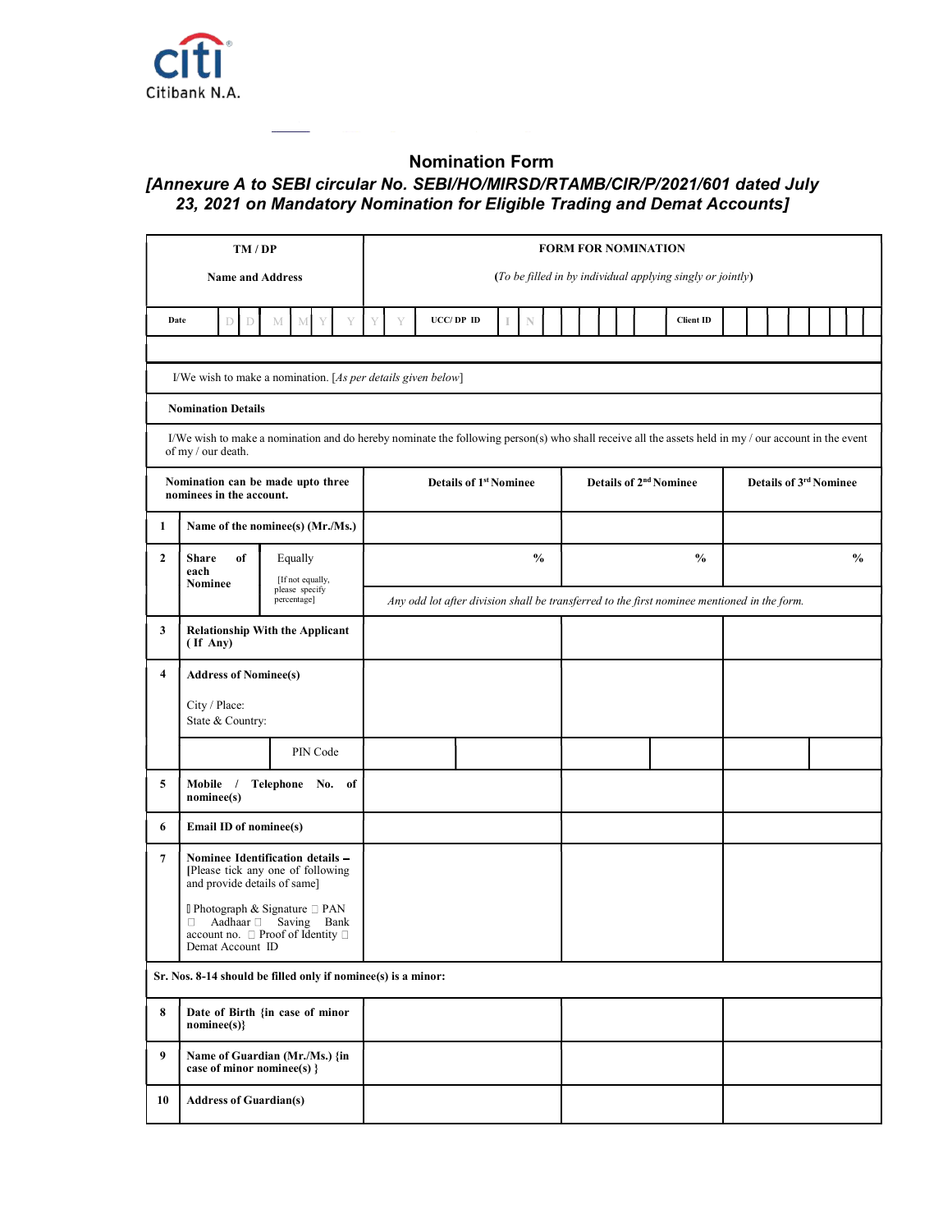

## Nomination Form

## [Annexure A to SEBI circular No. SEBI/HO/MIRSD/RTAMB/CIR/P/2021/601 dated July 23, 2021 on Mandatory Nomination for Eligible Trading and Demat Accounts]

| TM / DP          |                                                               |                                                                                                                                                                                                                                                                                                                                                                                                                                                                                                                                                                                                                                                                                                                                     |   | <b>FORM FOR NOMINATION</b>                                                                  |  |  |               |  |                                    |  |  |  |  |  |                                                            |                        |  |  |  |  |  |  |               |
|------------------|---------------------------------------------------------------|-------------------------------------------------------------------------------------------------------------------------------------------------------------------------------------------------------------------------------------------------------------------------------------------------------------------------------------------------------------------------------------------------------------------------------------------------------------------------------------------------------------------------------------------------------------------------------------------------------------------------------------------------------------------------------------------------------------------------------------|---|---------------------------------------------------------------------------------------------|--|--|---------------|--|------------------------------------|--|--|--|--|--|------------------------------------------------------------|------------------------|--|--|--|--|--|--|---------------|
|                  | <b>Name and Address</b>                                       |                                                                                                                                                                                                                                                                                                                                                                                                                                                                                                                                                                                                                                                                                                                                     |   |                                                                                             |  |  |               |  |                                    |  |  |  |  |  | (To be filled in by individual applying singly or jointly) |                        |  |  |  |  |  |  |               |
|                  | Date<br>$\mathbb D$<br>D                                      | $\mathbf M$<br>Y<br>M                                                                                                                                                                                                                                                                                                                                                                                                                                                                                                                                                                                                                                                                                                               | Y | UCC/DP ID                                                                                   |  |  | N             |  |                                    |  |  |  |  |  | <b>Client ID</b>                                           |                        |  |  |  |  |  |  |               |
|                  |                                                               | I/We wish to make a nomination. [As per details given below]                                                                                                                                                                                                                                                                                                                                                                                                                                                                                                                                                                                                                                                                        |   |                                                                                             |  |  |               |  |                                    |  |  |  |  |  |                                                            |                        |  |  |  |  |  |  |               |
|                  | <b>Nomination Details</b>                                     |                                                                                                                                                                                                                                                                                                                                                                                                                                                                                                                                                                                                                                                                                                                                     |   |                                                                                             |  |  |               |  |                                    |  |  |  |  |  |                                                            |                        |  |  |  |  |  |  |               |
|                  | of my / our death.                                            | I/We wish to make a nomination and do hereby nominate the following person(s) who shall receive all the assets held in my / our account in the event                                                                                                                                                                                                                                                                                                                                                                                                                                                                                                                                                                                |   |                                                                                             |  |  |               |  |                                    |  |  |  |  |  |                                                            |                        |  |  |  |  |  |  |               |
|                  | Nomination can be made upto three<br>nominees in the account. |                                                                                                                                                                                                                                                                                                                                                                                                                                                                                                                                                                                                                                                                                                                                     |   | <b>Details of 1st Nominee</b>                                                               |  |  |               |  | Details of 2 <sup>nd</sup> Nominee |  |  |  |  |  |                                                            | Details of 3rd Nominee |  |  |  |  |  |  |               |
| 1                |                                                               | Name of the nominee(s) (Mr./Ms.)                                                                                                                                                                                                                                                                                                                                                                                                                                                                                                                                                                                                                                                                                                    |   |                                                                                             |  |  |               |  |                                    |  |  |  |  |  |                                                            |                        |  |  |  |  |  |  |               |
| $\boldsymbol{2}$ | <b>Share</b><br>of<br>each<br>Nominee                         | Equally                                                                                                                                                                                                                                                                                                                                                                                                                                                                                                                                                                                                                                                                                                                             |   |                                                                                             |  |  | $\frac{6}{6}$ |  |                                    |  |  |  |  |  | $\%$                                                       |                        |  |  |  |  |  |  | $\frac{0}{0}$ |
|                  |                                                               | $[If not equally, please specify]% \begin{center} \includegraphics[width=0.8\columnwidth]{figures/h} \end{center} \vspace{-1em} \caption{The first step of the system of the system $X$-axis with the same step $X$-axis. The first step is the same step $X$-axis is the same step $X$-axis. The first step is the same step $X$-axis is the same step $X$-axis. The first step is the same step $X$-axis is the same step $X$-axis. The first step is the same step $X$-axis is the same step $X$-axis. The second step is the same step $X$-axis is the same step $X$-axis. The second step is the same step $X$-axis is the same step $X$-axis. The second step is the same step $X$-axis is the same step $X$-$<br>percentage] |   | Any odd lot after division shall be transferred to the first nominee mentioned in the form. |  |  |               |  |                                    |  |  |  |  |  |                                                            |                        |  |  |  |  |  |  |               |
| 3                | $($ If Any $)$                                                | <b>Relationship With the Applicant</b>                                                                                                                                                                                                                                                                                                                                                                                                                                                                                                                                                                                                                                                                                              |   |                                                                                             |  |  |               |  |                                    |  |  |  |  |  |                                                            |                        |  |  |  |  |  |  |               |
| 4                | <b>Address of Nominee(s)</b>                                  |                                                                                                                                                                                                                                                                                                                                                                                                                                                                                                                                                                                                                                                                                                                                     |   |                                                                                             |  |  |               |  |                                    |  |  |  |  |  |                                                            |                        |  |  |  |  |  |  |               |
|                  | City / Place:<br>State & Country:                             |                                                                                                                                                                                                                                                                                                                                                                                                                                                                                                                                                                                                                                                                                                                                     |   |                                                                                             |  |  |               |  |                                    |  |  |  |  |  |                                                            |                        |  |  |  |  |  |  |               |
|                  |                                                               | PIN Code                                                                                                                                                                                                                                                                                                                                                                                                                                                                                                                                                                                                                                                                                                                            |   |                                                                                             |  |  |               |  |                                    |  |  |  |  |  |                                                            |                        |  |  |  |  |  |  |               |
| 5                | Mobile /<br>nominee(s)                                        | Telephone No. of                                                                                                                                                                                                                                                                                                                                                                                                                                                                                                                                                                                                                                                                                                                    |   |                                                                                             |  |  |               |  |                                    |  |  |  |  |  |                                                            |                        |  |  |  |  |  |  |               |
| 6                | Email ID of nominee(s)                                        |                                                                                                                                                                                                                                                                                                                                                                                                                                                                                                                                                                                                                                                                                                                                     |   |                                                                                             |  |  |               |  |                                    |  |  |  |  |  |                                                            |                        |  |  |  |  |  |  |               |
| $\overline{7}$   | and provide details of same]                                  | Nominee Identification details -<br>[Please tick any one of following                                                                                                                                                                                                                                                                                                                                                                                                                                                                                                                                                                                                                                                               |   |                                                                                             |  |  |               |  |                                    |  |  |  |  |  |                                                            |                        |  |  |  |  |  |  |               |
|                  | $\Box$<br>Demat Account ID                                    | <b>□</b> Photograph & Signature □ PAN<br>Aadhaar Saving Bank<br>account no. □ Proof of Identity □                                                                                                                                                                                                                                                                                                                                                                                                                                                                                                                                                                                                                                   |   |                                                                                             |  |  |               |  |                                    |  |  |  |  |  |                                                            |                        |  |  |  |  |  |  |               |
|                  |                                                               | Sr. Nos. 8-14 should be filled only if nominee(s) is a minor:                                                                                                                                                                                                                                                                                                                                                                                                                                                                                                                                                                                                                                                                       |   |                                                                                             |  |  |               |  |                                    |  |  |  |  |  |                                                            |                        |  |  |  |  |  |  |               |
| 8                | nominee(s)}                                                   | Date of Birth {in case of minor                                                                                                                                                                                                                                                                                                                                                                                                                                                                                                                                                                                                                                                                                                     |   |                                                                                             |  |  |               |  |                                    |  |  |  |  |  |                                                            |                        |  |  |  |  |  |  |               |
| 9                | case of minor nominee(s) }                                    | Name of Guardian (Mr./Ms.) {in                                                                                                                                                                                                                                                                                                                                                                                                                                                                                                                                                                                                                                                                                                      |   |                                                                                             |  |  |               |  |                                    |  |  |  |  |  |                                                            |                        |  |  |  |  |  |  |               |
| 10               | <b>Address of Guardian(s)</b>                                 |                                                                                                                                                                                                                                                                                                                                                                                                                                                                                                                                                                                                                                                                                                                                     |   |                                                                                             |  |  |               |  |                                    |  |  |  |  |  |                                                            |                        |  |  |  |  |  |  |               |